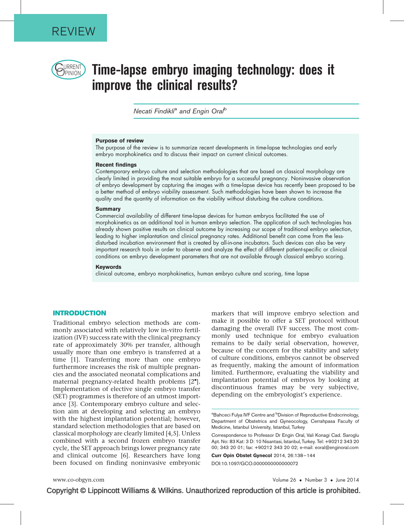

# $\bigcup_{\text{PRRENT}}$  Time-lapse embryo imaging technology: does it improve the clinical results?

Necati Findikli<sup>a</sup> and Engin Oral<sup>b</sup>

#### Purpose of review

The purpose of the review is to summarize recent developments in time-lapse technologies and early embryo morphokinetics and to discuss their impact on current clinical outcomes.

#### Recent findings

Contemporary embryo culture and selection methodologies that are based on classical morphology are clearly limited in providing the most suitable embryo for a successful pregnancy. Noninvasive observation of embryo development by capturing the images with a time-lapse device has recently been proposed to be a better method of embryo viability assessment. Such methodologies have been shown to increase the quality and the quantity of information on the viability without disturbing the culture conditions.

#### **Summary**

Commercial availability of different time-lapse devices for human embryos facilitated the use of morphokinetics as an additional tool in human embryo selection. The application of such technologies has already shown positive results on clinical outcome by increasing our scope of traditional embryo selection, leading to higher implantation and clinical pregnancy rates. Additional benefit can come from the lessdisturbed incubation environment that is created by all-in-one incubators. Such devices can also be very important research tools in order to observe and analyze the effect of different patient-specific or clinical conditions on embryo development parameters that are not available through classical embryo scoring.

#### Keywords

clinical outcome, embryo morphokinetics, human embryo culture and scoring, time lapse

## INTRODUCTION

Traditional embryo selection methods are commonly associated with relatively low in-vitro fertilization (IVF) success rate with the clinical pregnancy rate of approximately 30% per transfer, although usually more than one embryo is transferred at a time [\[1\]](#page-5-0). Transferring more than one embryo furthermore increases the risk of multiple pregnancies and the associated neonatal complications and maternal pregnancy-related health problems [\[2](#page-5-0)"[\].](#page-5-0) Implementation of elective single embryo transfer (SET) programmes is therefore of an utmost importance [\[3\]](#page-5-0). Contemporary embryo culture and selection aim at developing and selecting an embryo with the highest implantation potential; however, standard selection methodologies that are based on classical morphology are clearly limited [\[4,5\].](#page-5-0) Unless combined with a second frozen embryo transfer cycle, the SET approach brings lower pregnancy rate and clinical outcome [\[6\].](#page-5-0) Researchers have long been focused on finding noninvasive embryonic

markers that will improve embryo selection and make it possible to offer a SET protocol without damaging the overall IVF success. The most commonly used technique for embryo evaluation remains to be daily serial observation, however, because of the concern for the stability and safety of culture conditions, embryos cannot be observed as frequently, making the amount of information limited. Furthermore, evaluating the viability and implantation potential of embryos by looking at discontinuous frames may be very subjective, depending on the embryologist's experience.

Curr Opin Obstet Gynecol 2014, 26:138–144

DOI:10.1097/GCO.0000000000000072

www.co-obgyn.com Volume 26 Number 3 June 2014

<sup>&</sup>lt;sup>a</sup>Bahceci Fulya IVF Centre and <sup>b</sup>Division of Reproductive Endocrinology, Department of Obstetrics and Gyneocology, Cerrahpasa Faculty of Medicine, Istanbul University, Istanbul, Turkey

Correspondence to Professor Dr Engin Oral, Vali Konagi Cad. Saroglu Apt. No: 83 Kat: 3 D: 10 Nisantasi, Istanbul, Turkey. Tel: +90212 343 20 00; 343 20 01; fax: +90212 343 20 02; e-mail: [eoral@enginoral.com](mailto:eoral@enginoral.com)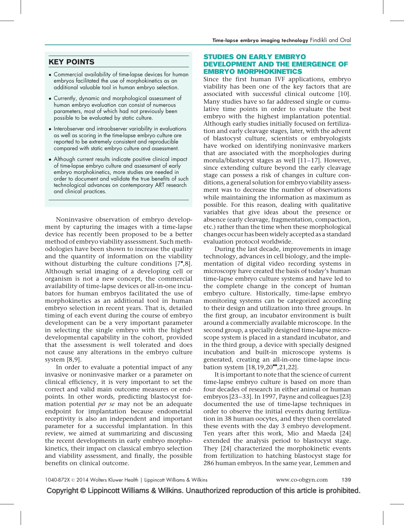## KEY POINTS

- Commercial availability of time-lapse devices for human embryos facilitated the use of morphokinetics as an additional valuable tool in human embryo selection.
- Currently, dynamic and morphological assessment of human embryo evaluation can consist of numerous parameters, most of which had not previously been possible to be evaluated by static culture.
- Interobserver and intraobserver variability in evaluations as well as scoring in the time-lapse embryo culture are reported to be extremely consistent and reproducible compared with static embryo culture and assessment.
- Although current results indicate positive clinical impact of time-lapse embryo culture and assessment of early embryo morphokinetics, more studies are needed in order to document and validate the true benefits of such technological advances on contemporary ART research and clinical practices.

Noninvasive observation of embryo development by capturing the images with a time-lapse device has recently been proposed to be a better method of embryo viability assessment. Such methodologies have been shown to increase the quality and the quantity of information on the viability without disturbing the culture conditions  $[7^{\bullet}, 8]$  $[7^{\bullet}, 8]$ . Although serial imaging of a developing cell or organism is not a new concept, the commercial availability of time-lapse devices or all-in-one incubators for human embryos facilitated the use of morphokinetics as an additional tool in human embryo selection in recent years. That is, detailed timing of each event during the course of embryo development can be a very important parameter in selecting the single embryo with the highest developmental capability in the cohort, provided that the assessment is well tolerated and does not cause any alterations in the embryo culture system [\[8,9\].](#page-5-0)

In order to evaluate a potential impact of any invasive or noninvasive marker or a parameter on clinical efficiency, it is very important to set the correct and valid main outcome measures or endpoints. In other words, predicting blastocyst formation potential *per se* may not be an adequate endpoint for implantation because endometrial receptivity is also an independent and important parameter for a successful implantation. In this review, we aimed at summarizing and discussing the recent developments in early embryo morphokinetics, their impact on classical embryo selection and viability assessment, and finally, the possible benefits on clinical outcome.

## STUDIES ON EARLY EMBRYO DEVELOPMENT AND THE EMERGENCE OF EMBRYO MORPHOKINETICS

Since the first human IVF applications, embryo viability has been one of the key factors that are associated with successful clinical outcome [\[10\]](#page-6-0). Many studies have so far addressed single or cumulative time points in order to evaluate the best embryo with the highest implantation potential. Although early studies initially focused on fertilization and early cleavage stages, later, with the advent of blastocyst culture, scientists or embryologists have worked on identifying noninvasive markers that are associated with the morphologies during morula/blastocyst stages as well [\[11–17\].](#page-6-0) However, since extending culture beyond the early cleavage stage can possess a risk of changes in culture conditions, a general solution for embryo viability assessment was to decrease the number of observations while maintaining the information as maximum as possible. For this reason, dealing with qualitative variables that give ideas about the presence or absence (early cleavage, fragmentation, compaction, etc.) rather than the time when these morphological changes occur has been widely accepted as a standard evaluation protocol worldwide.

During the last decade, improvements in image technology, advances in cell biology, and the implementation of digital video recording systems in microscopy have created the basis of today's human time-lapse embryo culture systems and have led to the complete change in the concept of human embryo culture. Historically, time-lapse embryo monitoring systems can be categorized according to their design and utilization into three groups. In the first group, an incubator environment is built around a commercially available microscope. In the second group, a specially designed time-lapse microscope system is placed in a standard incubator, and in the third group, a device with specially designed incubation and built-in microscope systems is generated, creating an all-in-one time-lapse incubation system  $[18, 19, 20$ <sup>\*\*</sup>[,21,22\]](#page-6-0).

It is important to note that the science of current time-lapse embryo culture is based on more than four decades of research in either animal or human embryos [\[23–33\].](#page-6-0) In 1997, Payne and colleagues [\[23\]](#page-6-0) documented the use of time-lapse techniques in order to observe the initial events during fertilization in 38 human oocytes, and they then correlated these events with the day 3 embryo development. Ten years after this work, Mio and Maeda [\[24\]](#page-6-0) extended the analysis period to blastocyst stage. They [\[24\]](#page-6-0) characterized the morphokinetic events from fertilization to hatching blastocyst stage for 286 human embryos. In the same year, Lemmen and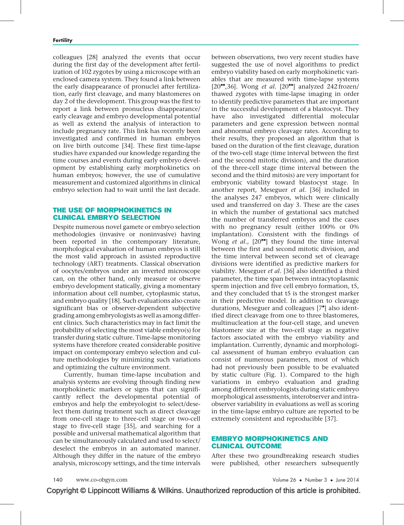colleagues [\[28\]](#page-6-0) analyzed the events that occur during the first day of the development after fertilization of 102 zygotes by using a microscope with an enclosed camera system. They found a link between the early disappearance of pronuclei after fertilization, early first cleavage, and many blastomeres on day 2 of the development. This group was the first to report a link between pronucleus disappearance/ early cleavage and embryo developmental potential as well as extend the analysis of interaction to include pregnancy rate. This link has recently been investigated and confirmed in human embryos on live birth outcome [\[34\]](#page-6-0). These first time-lapse studies have expanded our knowledge regarding the time courses and events during early embryo development by establishing early morphokinetics on human embryos; however, the use of cumulative measurement and customized algorithms in clinical embryo selection had to wait until the last decade.

## THE USE OF MORPHOKINETICS IN CLINICAL EMBRYO SELECTION

Despite numerous novel gamete or embryo selection methodologies (invasive or noninvasive) having been reported in the contemporary literature, morphological evaluation of human embryos is still the most valid approach in assisted reproductive technology (ART) treatments. Classical observation of oocytes/embryos under an inverted microscope can, on the other hand, only measure or observe embryo development statically, giving a momentary information about cell number, cytoplasmic status, and embryo quality [\[18\]](#page-6-0). Such evaluations also create significant bias or observer-dependent subjective grading among embryologists as well as among different clinics. Such characteristics may in fact limit the probability of selecting the most viable embryo(s) for transfer during static culture. Time-lapse monitoring systems have therefore created considerable positive impact on contemporary embryo selection and culture methodologies by minimizing such variations and optimizing the culture environment.

Currently, human time-lapse incubation and analysis systems are evolving through finding new morphokinetic markers or signs that can significantly reflect the developmental potential of embryos and help the embryologist to select/deselect them during treatment such as direct cleavage from one-cell stage to three-cell stage or two-cell stage to five-cell stage [\[35\],](#page-6-0) and searching for a possible and universal mathematical algorithm that can be simultaneously calculated and used to select/ deselect the embryos in an automated manner. Although they differ in the nature of the embryo analysis, microscopy settings, and the time intervals

between observations, two very recent studies have suggested the use of novel algorithms to predict embryo viability based on early morphokinetic variables that are measured with time-lapse systems  $[20$ <sup>\*\*</sup>[,36\].](#page-6-0) Wong *et al.*  $[20$ <sup>\*\*</sup>[\]](#page-6-0) analyzed 242 frozen/ thawed zygotes with time-lapse imaging in order to identify predictive parameters that are important in the successful development of a blastocyst. They have also investigated differential molecular parameters and gene expression between normal and abnormal embryo cleavage rates. According to their results, they proposed an algorithm that is based on the duration of the first cleavage, duration of the two-cell stage (time interval between the first and the second mitotic division), and the duration of the three-cell stage (time interval between the second and the third mitosis) are very important for embryonic viability toward blastocyst stage. In another report, Meseguer et al. [\[36\]](#page-6-0) included in the analyses 247 embryos, which were clinically used and transferred on day 3. These are the cases in which the number of gestational sacs matched the number of transferred embryos and the cases with no pregnancy result (either 100% or 0% implantation). Consistent with the findings of Wong et al.,  $[20$ <sup>\*\*</sup>[\]](#page-6-0) they found the time interval between the first and second mitotic division, and the time interval between second set of cleavage divisions were identified as predictive markers for viability. Meseguer et al. [\[36\]](#page-6-0) also identified a third parameter, the time span between intracytoplasmic sperm injection and five cell embryo formation, t5, and they concluded that t5 is the strongest marker in their predictive model. In addition to cleavage durations, Meseguer and colleagues [\[7](#page-5-0)"[\]](#page-5-0) also identified direct cleavage from one to three blastomeres, multinucleation at the four-cell stage, and uneven blastomere size at the two-cell stage as negative factors associated with the embryo viability and implantation. Currently, dynamic and morphological assessment of human embryo evaluation can consist of numerous parameters, most of which had not previously been possible to be evaluated by static culture (Fig. 1). Compared to the high variations in embryo evaluation and grading among different embryologists during static embryo morphological assessments, interobserver and intraobserver variability in evaluations as well as scoring in the time-lapse embryo culture are reported to be extremely consistent and reproducible [\[37\].](#page-6-0)

## EMBRYO MORPHOKINETICS AND CLINICAL OUTCOME

After these two groundbreaking research studies were published, other researchers subsequently

140 www.co-obgyn.com Volume 26 Number 3 June 2014

Copyright © Lippincott Williams & Wilkins. Unauthorized reproduction of this article is prohibited.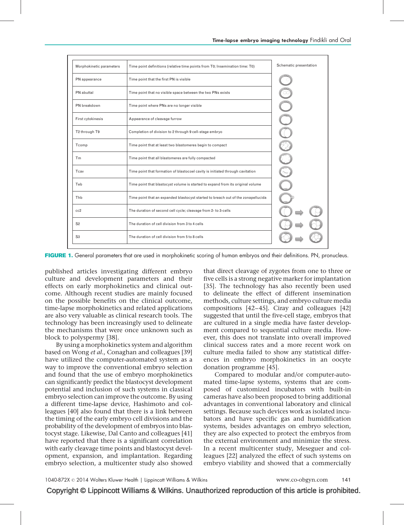

FIGURE 1. General parameters that are used in morphokinetic scoring of human embryos and their definitions. PN, pronucleus.

published articles investigating different embryo culture and development parameters and their effects on early morphokinetics and clinical outcome. Although recent studies are mainly focused on the possible benefits on the clinical outcome, time-lapse morphokinetics and related applications are also very valuable as clinical research tools. The technology has been increasingly used to delineate the mechanisms that were once unknown such as block to polyspermy [\[38\]](#page-6-0).

By using a morphokinetics system and algorithm based on Wong et al., Conaghan and colleagues [\[39\]](#page-6-0) have utilized the computer-automated system as a way to improve the conventional embryo selection and found that the use of embryo morphokinetics can significantly predict the blastocyst development potential and inclusion of such systems in classical embryo selection can improve the outcome. By using a different time-lapse device, Hashimoto and colleagues [\[40\]](#page-6-0) also found that there is a link between the timing of the early embryo cell divisions and the probability of the development of embryos into blastocyst stage. Likewise, Dal Canto and colleagues [\[41\]](#page-6-0) have reported that there is a significant correlation with early cleavage time points and blastocyst development, expansion, and implantation. Regarding embryo selection, a multicenter study also showed that direct cleavage of zygotes from one to three or five cells is a strong negative marker for implantation [\[35\].](#page-6-0) The technology has also recently been used to delineate the effect of different insemination methods, culture settings, and embryo culture media compositions [\[42–45\].](#page-6-0) Ciray and colleagues [\[42\]](#page-6-0) suggested that until the five-cell stage, embryos that are cultured in a single media have faster development compared to sequential culture media. However, this does not translate into overall improved clinical success rates and a more recent work on culture media failed to show any statistical differences in embryo morphokinetics in an oocyte donation programme [\[45\].](#page-6-0)

Compared to modular and/or computer-automated time-lapse systems, systems that are composed of customized incubators with built-in cameras have also been proposed to bring additional advantages in conventional laboratory and clinical settings. Because such devices work as isolated incubators and have specific gas and humidification systems, besides advantages on embryo selection, they are also expected to protect the embryos from the external environment and minimize the stress. In a recent multicenter study, Meseguer and colleagues [\[22\]](#page-6-0) analyzed the effect of such systems on embryo viability and showed that a commercially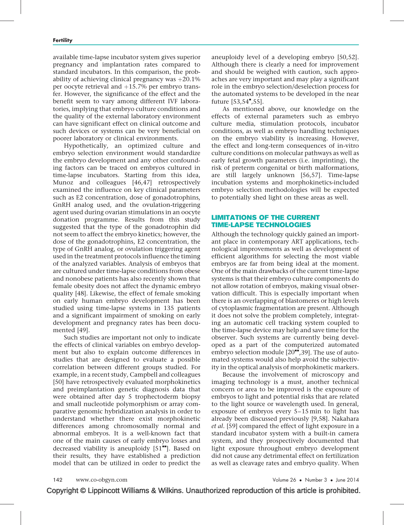available time-lapse incubator system gives superior pregnancy and implantation rates compared to standard incubators. In this comparison, the probability of achieving clinical pregnancy was  $+20.1\%$ per oocyte retrieval and  $+15.7\%$  per embryo transfer. However, the significance of the effect and the benefit seem to vary among different IVF laboratories, implying that embryo culture conditions and the quality of the external laboratory environment can have significant effect on clinical outcome and such devices or systems can be very beneficial on poorer laboratory or clinical environments.

Hypothetically, an optimized culture and embryo selection environment would standardize the embryo development and any other confounding factors can be traced on embryos cultured in time-lapse incubators. Starting from this idea, Munoz and colleagues [\[46,47\]](#page-6-0) retrospectively examined the influence on key clinical parameters such as E2 concentration, dose of gonadotrophins, GnRH analog used, and the ovulation-triggering agent used during ovarian stimulations in an oocyte donation programme. Results from this study suggested that the type of the gonadotrophin did not seem to affect the embryo kinetics; however, the dose of the gonadotrophins, E2 concentration, the type of GnRH analog, or ovulation triggering agent used in the treatment protocols influence the timing of the analyzed variables. Analysis of embryos that are cultured under time-lapse conditions from obese and nonobese patients has also recently shown that female obesity does not affect the dynamic embryo quality [\[48\].](#page-6-0) Likewise, the effect of female smoking on early human embryo development has been studied using time-lapse systems in 135 patients and a significant impairment of smoking on early development and pregnancy rates has been documented [\[49\].](#page-6-0)

Such studies are important not only to indicate the effects of clinical variables on embryo development but also to explain outcome differences in studies that are designed to evaluate a possible correlation between different groups studied. For example, in a recent study, Campbell and colleagues [\[50\]](#page-6-0) have retrospectively evaluated morphokinetics and preimplantation genetic diagnosis data that were obtained after day 5 trophectoderm biopsy and small nucleotide polymorphism or array comparative genomic hybridization analysis in order to understand whether there exist morphokinetic differences among chromosomally normal and abnormal embryos. It is a well-known fact that one of the main causes of early embryo losses and decreased viability is aneuploidy  $[51$ <sup> $H$ </sup>. Based on their results, they have established a prediction model that can be utilized in order to predict the

aneuploidy level of a developing embryo [\[50,52\].](#page-6-0) Although there is clearly a need for improvement and should be weighed with caution, such approaches are very important and may play a significant role in the embryo selection/deselection process for the automated systems to be developed in the near future [\[53,54](#page-6-0)"[,55\].](#page-6-0)

As mentioned above, our knowledge on the effects of external parameters such as embryo culture media, stimulation protocols, incubator conditions, as well as embryo handling techniques on the embryo viability is increasing. However, the effect and long-term consequences of in-vitro culture conditions on molecular pathways as well as early fetal growth parameters (i.e. imprinting), the risk of preterm congenital or birth malformations, are still largely unknown [\[56,57\]](#page-6-0). Time-lapse incubation systems and morphokinetics-included embryo selection methodologies will be expected to potentially shed light on these areas as well.

## LIMITATIONS OF THE CURRENT TIME-LAPSE TECHNOLOGIES

Although the technology quickly gained an important place in contemporary ART applications, technological improvements as well as development of efficient algorithms for selecting the most viable embryos are far from being ideal at the moment. One of the main drawbacks of the current time-lapse systems is that their embryo culture components do not allow rotation of embryos, making visual observation difficult. This is especially important when there is an overlapping of blastomeres or high levels of cytoplasmic fragmentation are present. Although it does not solve the problem completely, integrating an automatic cell tracking system coupled to the time-lapse device may help and save time for the observer. Such systems are currently being developed as a part of the computerized automated embryo selection module  $[20^{\bullet\bullet},39]$  $[20^{\bullet\bullet},39]$ . The use of automated systems would also help avoid the subjectivity in the optical analysis of morphokinetic markers.

Because the involvement of microscopy and imaging technology is a must, another technical concern or area to be improved is the exposure of embryos to light and potential risks that are related to the light source or wavelength used. In general, exposure of embryos every 5–15 min to light has already been discussed previously [\[9,58\]](#page-6-0). Nakahara et al. [\[59\]](#page-6-0) compared the effect of light exposure in a standard incubator system with a built-in camera system, and they prospectively documented that light exposure throughout embryo development did not cause any detrimental effect on fertilization as well as cleavage rates and embryo quality. When

142 www.co-obgyn.com Volume 26 Number 3 June 2014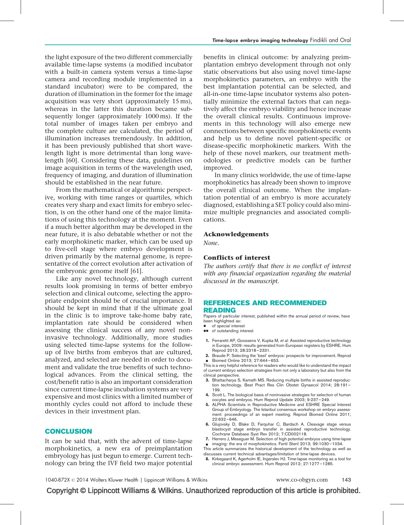<span id="page-5-0"></span>the light exposure of the two different commercially available time-lapse systems (a modified incubator with a built-in camera system versus a time-lapse camera and recording module implemented in a standard incubator) were to be compared, the duration of illumination in the former for the image acquisition was very short (approximately 15 ms), whereas in the latter this duration became subsequently longer (approximately 1000 ms). If the total number of images taken per embryo and the complete culture are calculated, the period of illumination increases tremendously. In addition, it has been previously published that short wavelength light is more detrimental than long wavelength [\[60\]](#page-6-0). Considering these data, guidelines on image acquisition in terms of the wavelength used, frequency of imaging, and duration of illumination should be established in the near future.

From the mathematical or algorithmic perspective, working with time ranges or quartiles, which creates very sharp and exact limits for embryo selection, is on the other hand one of the major limitations of using this technology at the moment. Even if a much better algorithm may be developed in the near future, it is also debatable whether or not the early morphokinetic marker, which can be used up to five-cell stage where embryo development is driven primarily by the maternal genome, is representative of the correct evolution after activation of the embryonic genome itself [\[61\]](#page-6-0).

Like any novel technology, although current results look promising in terms of better embryo selection and clinical outcome, selecting the appropriate endpoint should be of crucial importance. It should be kept in mind that if the ultimate goal in the clinic is to improve take-home baby rate, implantation rate should be considered when assessing the clinical success of any novel noninvasive technology. Additionally, more studies using selected time-lapse systems for the followup of live births from embryos that are cultured, analyzed, and selected are needed in order to document and validate the true benefits of such technological advances. From the clinical setting, the cost/benefit ratio is also an important consideration since current time-lapse incubation systems are very expensive and most clinics with a limited number of monthly cycles could not afford to include these devices in their investment plan.

### **CONCLUSION**

It can be said that, with the advent of time-lapse morphokinetics, a new era of preimplantation embryology has just begun to emerge. Current technology can bring the IVF field two major potential

benefits in clinical outcome: by analyzing preimplantation embryo development through not only static observations but also using novel time-lapse morphokinetics parameters, an embryo with the best implantation potential can be selected, and all-in-one time-lapse incubator systems also potentially minimize the external factors that can negatively affect the embryo viability and hence increase the overall clinical results. Continuous improvements in this technology will also emerge new connections between specific morphokinetic events and help us to define novel patient-specific or disease-specific morphokinetic markers. With the help of these novel markers, our treatment methodologies or predictive models can be further improved.

In many clinics worldwide, the use of time-lapse morphokinetics has already been shown to improve the overall clinical outcome. When the implantation potential of an embryo is more accurately diagnosed, establishing a SET policy could also minimize multiple pregnancies and associated complications.

#### Acknowledgements

None.

#### Conflicts of interest

The authors certify that there is no conflict of interest with any financial organization regarding the material discussed in the manuscript.

# REFERENCES AND RECOMMENDED

## READING

Papers of particular interest, published within the annual period of review, have been highlighted as:

- of special interest
- $\blacksquare$  of outstanding interest
- 1. Ferraretti AP, Goossens V, Kupka M, et al. Assisted reproductive technology in Europe, 2009: results generated from European registers by ESHRE. Hum Reprod 2013; 28:2318–2331.
- 2. Braude P. Selecting the 'best' embryos: prospects for improvement. Reprod

■ Biomed Online 2013; 27:644-653. This is a very helpful reference for readers who would like to understand the impact of current embryo selection strategies from not only a laboratory but also from the clinical perspective.

- 3. Bhattacharya S, Kamath MS. Reducing multiple births in assisted reproduction technology. Best Pract Res Clin Obstet Gynaecol 2014; 28:191– 199.
- 4. Scott L. The biological basis of noninvasive strategies for selection of human oocytes and embryos. Hum Reprod Update 2003; 9:237–249.
- 5. ALPHA Scientists in Reproductive Medicine and ESHRE Special Interest Group of Embryology. The Istanbul consensus workshop on embryo assessment: proceedings of an expert meeting. Reprod Biomed Online 2011; 22:632–646.
- 6. Glujovsky D, Blake D, Farquhar C, Bardach A. Cleavage stage versus blastocyst stage embryo transfer in assisted reproductive technology. Cochrane Database Syst Rev 2012; 7:CD002118.
- 7. Herrero J, Meseguer M. Selection of high potential embryos using time-lapse ■ imaging: the era of morphokinetics. Fertil Steril 2013; 99:1030-1034.
- This article summarizes the historical development of the technology as well as discusses current technical advantages/limitation of time-lapse devices.
- 8. Kirkegaard K, Agerholm IE, Ingerslev HJ. Time-lapse monitoring as a tool for clinical embryo assessment. Hum Reprod 2012; 27:1277–1285.

1040-872X © 2014 Wolters Kluwer Health | Lippincott Williams & Wilkins WWW.CO-obgyn.com 143

Copyright © Lippincott Williams & Wilkins. Unauthorized reproduction of this article is prohibited.